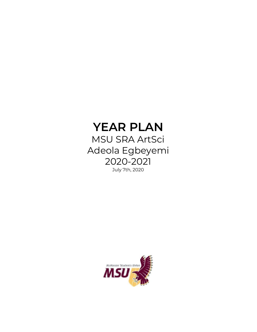# **YEAR PLAN**

MSU SRA ArtSci Adeola Egbeyemi 2020-2021

July 7th, 2020

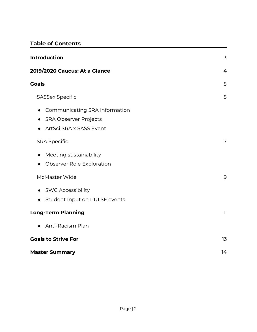## **Table of Contents**

| <b>Introduction</b><br>3                                                                                           |    |
|--------------------------------------------------------------------------------------------------------------------|----|
| 2019/2020 Caucus: At a Glance                                                                                      | 4  |
| <b>Goals</b>                                                                                                       | 5  |
| <b>SASSex Specific</b>                                                                                             | 5  |
| Communicating SRA Information<br>$\bullet$<br><b>SRA Observer Projects</b><br>$\bullet$<br>ArtSci SRA x SASS Event |    |
| <b>SRA Specific</b>                                                                                                | 7  |
| Meeting sustainability<br>$\bullet$<br>Observer Role Exploration<br>$\bullet$                                      |    |
| McMaster Wide                                                                                                      | 9  |
| <b>SWC Accessibility</b><br>$\bullet$<br>Student Input on PULSE events<br>$\bullet$                                |    |
| <b>Long-Term Planning</b>                                                                                          | 11 |
| Anti-Racism Plan<br>$\bullet$                                                                                      |    |
| <b>Goals to Strive For</b>                                                                                         | 13 |
| <b>Master Summary</b>                                                                                              | 14 |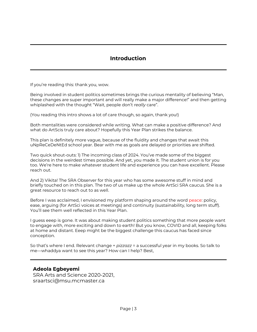### **Introduction**

If you're reading this: thank you, wow.

Being involved in student politics sometimes brings the curious mentality of believing "Man, these changes are super important and will really make a major difference!" and then getting whiplashed with the thought "Wait, people don't *really* care".

(You reading this intro shows a lot of care though, so again, thank you!)

Both mentalities were considered while writing. What can make a positive difference? And what do ArtScis truly care about? Hopefully this Year Plan strikes the balance.

This plan is definitely more vague, because of the fluidity and changes that await this uNpReCeDeNtEd school year. Bear with me as goals are delayed or priorities are shifted.

Two quick shout-outs: 1) The incoming class of 2024. You've made some of the biggest decisions in the weirdest times possible. And yet, you made it. The student union is for you too. We're here to make whatever student life and experience you can have excellent. Please reach out.

And 2) Vikita! The SRA Observer for this year who has some awesome stuff in mind and briefly touched on in this plan. The two of us make up the whole ArtSci SRA caucus. She is a great resource to reach out to as well.

Before I was acclaimed, I envisioned my platform shaping around the word peace: policy, ease, arguing (for ArtSci voices at meetings) and continuity (sustainability, long term stuff). You'll see them well reflected in this Year Plan.

I guess eeep is gone. It was about making student politics something that more people want to engage with, more exciting and down to earth! But you know, COVID and all, keeping folks at home and distant. Eeep might be the biggest challenge this caucus has faced since conception.

So that's where I end. Relevant change + *pizzazz* = a successful year in my books. So talk to me—whaddya want to see this year? How can I help? Best,

#### **Adeola Egbeyemi**

SRA Arts and Science 2020-2021, [sraartsci@msu.mcmaster.ca](mailto:sraartsci@msu.mcmaster.ca)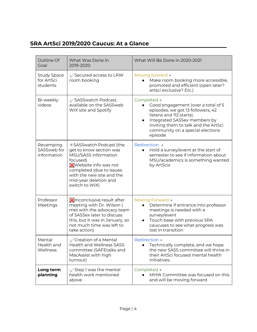# **SRA ArtSci 2019/2020 Caucus: At a Glance**

| Outline Of<br>Goal                           | What Was Done in<br>2019-2020                                                                                                                                                                                               | What Will Be Done in 2020-2021                                                                                                                                                                                                            |
|----------------------------------------------|-----------------------------------------------------------------------------------------------------------------------------------------------------------------------------------------------------------------------------|-------------------------------------------------------------------------------------------------------------------------------------------------------------------------------------------------------------------------------------------|
| <b>Study Space</b><br>for ArtSci<br>students | Secured access to LRW<br>room booking                                                                                                                                                                                       | Moving forward +<br>Make room booking more accessible,<br>promoted and efficient (open later?<br>artsci exclusive? Etc.)                                                                                                                  |
| Bi-weekly<br>videos                          | SASSwatch Podcast,<br>available on the SASSweb<br>WIX site and Spotify                                                                                                                                                      | Completed +<br>Good engagement (over a total of 5<br>episodes, we got 13 followers, 42<br>listens and 112 starts).<br>Integrated SASSex members by<br>inviting them to talk and the ArtSci<br>community on a special elections<br>episode |
| Revamping<br>SASSweb for<br>information      | *SASSwatch Podcast (the<br>get to know section was<br>MSU/SASS information<br>focused)<br><b>X</b> Website info was not<br>completed (due to issues<br>with the new site and the<br>mid-year deletion and<br>switch to WIX) | Redirection +<br>Hold a survey/event at the start of<br>semester to see if information about<br>MSU/academics is something wanted<br>by ArtScis                                                                                           |
| Professor<br>Meetings                        | <b>X</b> Inconclusive result after<br>meeting with Dr. Wilson (<br>met with the advocacy team<br>of SASSex later to discuss<br>this, but it was in January, so<br>not much time was left to<br>take action)                 | Moving Forward +<br>Determine if entrance into professor<br>meetings is needed with a<br>survey/event<br>Touch base with previous SRA<br>caucuses to see what progress was<br>lost in transition                                          |
| Mental<br>Health and<br>Wellness             | Creation of a Mental<br><b>Health and Wellness SASS</b><br>committee (SAFEtalks and<br>MacAssist with high<br>turnout)                                                                                                      | <b>Redirection →</b><br>Technically complete, and we hope<br>the new SASS committee will thrive in<br>their ArtSci focused mental health<br>initiatives.                                                                                  |
| Long term<br>planning                        | Step 1 was the mental<br>health work mentioned<br>above                                                                                                                                                                     | Completed →<br>MHW Committee was focused on this<br>and will be moving forward                                                                                                                                                            |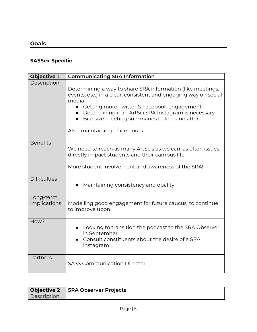## **Goals**

## **SASSex Specific**

| <b>Objective 1</b>        | <b>Communicating SRA Information</b>                                                                                                                                                                                                                                                                                           |
|---------------------------|--------------------------------------------------------------------------------------------------------------------------------------------------------------------------------------------------------------------------------------------------------------------------------------------------------------------------------|
| Description               | Determining a way to share SRA information (like meetings,<br>events, etc.) in a clear, consistent and engaging way on social<br>media<br>Getting more Twitter & Facebook engagement<br>Determining if an ArtSci SRA Instagram is necessary<br>Bite size meeting summaries before and after<br>Also, maintaining office hours. |
| <b>Benefits</b>           | We need to reach as many ArtScis as we can, as often issues<br>directly impact students and their campus life.<br>More student involvement and awareness of the SRA!                                                                                                                                                           |
| <b>Difficulties</b>       | Maintaining consistency and quality                                                                                                                                                                                                                                                                                            |
| Long-term<br>implications | Modelling good engagement for future caucus' to continue<br>to improve upon.                                                                                                                                                                                                                                                   |
| How?                      | Looking to transition the podcast to the SRA Observer<br>in September<br>Consult constituents about the desire of a SRA<br>instagram                                                                                                                                                                                           |
| Partners                  | <b>SASS Communication Director</b>                                                                                                                                                                                                                                                                                             |

|                    | Objective 2 SRA Observer Projects |
|--------------------|-----------------------------------|
| <b>Description</b> |                                   |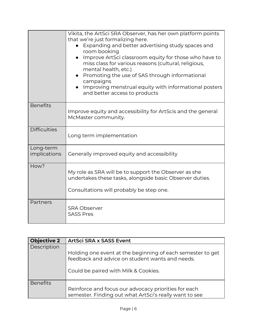|                           | Vikita, the ArtSci SRA Observer, has her own platform points<br>that we're just formalizing here.<br>Expanding and better advertising study spaces and<br>room booking<br>Improve ArtSci classroom equity for those who have to<br>miss class for various reasons (cultural, religious,<br>mental health, etc.)<br>Promoting the use of SAS through informational<br>campaigns<br>Improving menstrual equity with informational posters<br>and better access to products |
|---------------------------|--------------------------------------------------------------------------------------------------------------------------------------------------------------------------------------------------------------------------------------------------------------------------------------------------------------------------------------------------------------------------------------------------------------------------------------------------------------------------|
| <b>Benefits</b>           | Improve equity and accessibility for ArtScis and the general<br>McMaster community.                                                                                                                                                                                                                                                                                                                                                                                      |
| <b>Difficulties</b>       | Long term implementation                                                                                                                                                                                                                                                                                                                                                                                                                                                 |
| Long-term<br>implications | Generally improved equity and accessibility                                                                                                                                                                                                                                                                                                                                                                                                                              |
| How?                      | My role as SRA will be to support the Observer as she<br>undertakes these tasks, alongside basic Observer duties.<br>Consultations will probably be step one.                                                                                                                                                                                                                                                                                                            |
| Partners                  | <b>SRA Observer</b><br><b>SASS Pres</b>                                                                                                                                                                                                                                                                                                                                                                                                                                  |

| <b>Objective 2</b> | ArtSci SRA x SASS Event                                                                                        |
|--------------------|----------------------------------------------------------------------------------------------------------------|
| Description        |                                                                                                                |
|                    | Holding one event at the beginning of each semester to get<br>feedback and advice on student wants and needs.  |
|                    | Could be paired with Milk & Cookies.                                                                           |
| <b>Benefits</b>    |                                                                                                                |
|                    | Reinforce and focus our advocacy priorities for each<br>semester. Finding out what ArtSci's really want to see |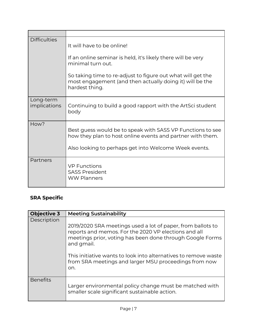| <b>Difficulties</b>       | It will have to be online!<br>If an online seminar is held, it's likely there will be very<br>minimal turn out.<br>So taking time to re-adjust to figure out what will get the    |
|---------------------------|-----------------------------------------------------------------------------------------------------------------------------------------------------------------------------------|
|                           | most engagement (and then actually doing it) will be the<br>hardest thing.                                                                                                        |
| Long-term<br>implications | Continuing to build a good rapport with the ArtSci student<br>body                                                                                                                |
| How?                      | Best guess would be to speak with SASS VP Functions to see<br>how they plan to host online events and partner with them.<br>Also looking to perhaps get into Welcome Week events. |
| Partners                  | <b>VP Functions</b><br><b>SASS President</b><br><b>WW Planners</b>                                                                                                                |

# **SRA Specific**

| <b>Objective 3</b> | <b>Meeting Sustainability</b>                                                                                                                                                                                                                                                                                                     |
|--------------------|-----------------------------------------------------------------------------------------------------------------------------------------------------------------------------------------------------------------------------------------------------------------------------------------------------------------------------------|
| Description        | 2019/2020 SRA meetings used a lot of paper, from ballots to<br>reports and memos. For the 2020 VP elections and all<br>meetings prior, voting has been done through Google Forms<br>and gmail.<br>This initiative wants to look into alternatives to remove waste<br>from SRA meetings and larger MSU proceedings from now<br>on. |
| <b>Benefits</b>    | Larger environmental policy change must be matched with<br>smaller scale significant sustainable action.                                                                                                                                                                                                                          |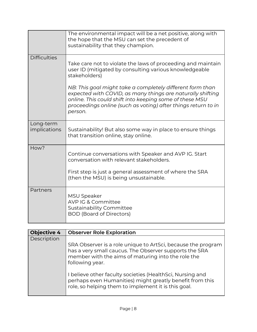|                           | The environmental impact will be a net positive, along with<br>the hope that the MSU can set the precedent of<br>sustainability that they champion.                                                                                                            |
|---------------------------|----------------------------------------------------------------------------------------------------------------------------------------------------------------------------------------------------------------------------------------------------------------|
| <b>Difficulties</b>       | Take care not to violate the laws of proceeding and maintain<br>user ID (mitigated by consulting various knowledgeable<br>stakeholders)                                                                                                                        |
|                           | NB: This goal might take a completely different form than<br>expected with COVID, as many things are naturally shifting<br>online. This could shift into keeping some of these MSU<br>proceedings online (such as voting) after things return to in<br>person. |
| Long-term<br>implications | Sustainability! But also some way in place to ensure things<br>that transition online, stay online.                                                                                                                                                            |
| How?                      | Continue conversations with Speaker and AVP IG. Start<br>conversation with relevant stakeholders.                                                                                                                                                              |
|                           | First step is just a general assessment of where the SRA<br>(then the MSU) is being unsustainable.                                                                                                                                                             |
| Partners                  | <b>MSU Speaker</b><br>AVP IG & Committee<br>Sustainability Committee<br><b>BOD (Board of Directors)</b>                                                                                                                                                        |

| <b>Objective 4</b> | <b>Observer Role Exploration</b>                                                                                                                                                                |
|--------------------|-------------------------------------------------------------------------------------------------------------------------------------------------------------------------------------------------|
| Description        |                                                                                                                                                                                                 |
|                    | SRA Observer is a role unique to ArtSci, because the program<br>has a very small caucus. The Observer supports the SRA<br>member with the aims of maturing into the role the<br>following year. |
|                    | I believe other faculty societies (HealthSci, Nursing and<br>perhaps even Humanities) might greatly benefit from this<br>role, so helping them to implement it is this goal.                    |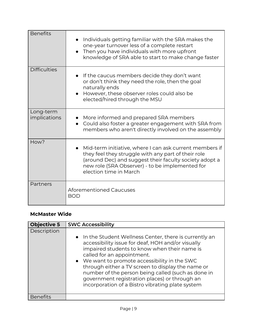| <b>Benefits</b>           | Individuals getting familiar with the SRA makes the<br>$\bullet$<br>one-year turnover less of a complete restart<br>Then you have individuals with more upfront<br>$\bullet$<br>knowledge of SRA able to start to make change faster                               |
|---------------------------|--------------------------------------------------------------------------------------------------------------------------------------------------------------------------------------------------------------------------------------------------------------------|
| <b>Difficulties</b>       | If the caucus members decide they don't want<br>or don't think they need the role, then the goal<br>naturally ends<br>However, these observer roles could also be<br>$\bullet$<br>elected/hired through the MSU                                                    |
| Long-term<br>implications | More informed and prepared SRA members<br>Could also foster a greater engagement with SRA from<br>$\bullet$<br>members who aren't directly involved on the assembly                                                                                                |
| How?                      | Mid-term initiative, where I can ask current members if<br>$\bullet$<br>they feel they struggle with any part of their role<br>(around Dec) and suggest their faculty society adopt a<br>new role (SRA Observer) - to be implemented for<br>election time in March |
| Partners                  | <b>Aforementioned Caucuses</b><br><b>BOD</b>                                                                                                                                                                                                                       |

### <span id="page-8-0"></span>**McMaster Wide**

| <b>Objective 5</b> | <b>SWC Accessibility</b>                                                                                                                                                                                                                                                                                                                                                                                                                                    |
|--------------------|-------------------------------------------------------------------------------------------------------------------------------------------------------------------------------------------------------------------------------------------------------------------------------------------------------------------------------------------------------------------------------------------------------------------------------------------------------------|
| Description        | • In the Student Wellness Center, there is currently an<br>accessibility issue for deaf, HOH and/or visually<br>impaired students to know when their name is<br>called for an appointment.<br>• We want to promote accessibility in the SWC<br>through either a TV screen to display the name or<br>number of the person being called (such as done in<br>government registration places) or through an<br>incorporation of a Bistro vibrating plate system |
| Benefits           |                                                                                                                                                                                                                                                                                                                                                                                                                                                             |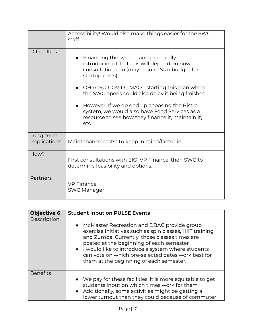|                           | Accessibility! Would also make things easier for the SWC<br>staff.                                                                                                                                                                                        |
|---------------------------|-----------------------------------------------------------------------------------------------------------------------------------------------------------------------------------------------------------------------------------------------------------|
| <b>Difficulties</b>       | Financing the system and practically<br>introducing it, but this will depend on how<br>consultations go (may require SRA budget for<br>startup costs)<br>OH ALSO COVID LMAO - starting this plan when<br>the SWC opens could also delay it being finished |
|                           | However, If we do end up choosing the Bistro<br>system, we would also have Food Services as a<br>resource to see how they finance it, maintain it,<br>etc                                                                                                 |
| Long-term<br>implications | Maintenance costs! To keep in mind/factor in                                                                                                                                                                                                              |
| How?                      | First consultations with EIO, VP Finance, then SWC to<br>determine feasibility and options.                                                                                                                                                               |
| Partners                  | <b>VP Finance</b><br><b>SWC Manager</b>                                                                                                                                                                                                                   |

| <b>Objective 6</b> | <b>Student Input on PULSE Events</b>                                                                                                                                                                                                                                                                                                                          |
|--------------------|---------------------------------------------------------------------------------------------------------------------------------------------------------------------------------------------------------------------------------------------------------------------------------------------------------------------------------------------------------------|
| Description        | • McMaster Recreation and DBAC provide group<br>exercise initiatives such as spin classes, HIIT training<br>and Zumba. Currently, those classes times are<br>posted at the beginning of each semester<br>• I would like to introduce a system where students<br>can vote on which pre-selected dates work best for<br>them at the beginning of each semester. |
| <b>Benefits</b>    | • We pay for these facilities, it is more equitable to get<br>students input on which times work for them<br>• Additionally, some activities might be getting a<br>lower turnout than they could because of commuter                                                                                                                                          |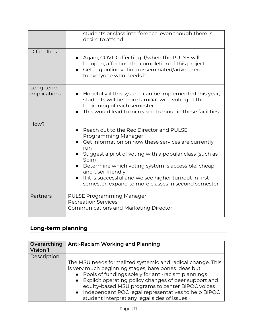|                           | students or class interference, even though there is<br>desire to attend                                                                                                                                                                                                                                                                                                                                            |
|---------------------------|---------------------------------------------------------------------------------------------------------------------------------------------------------------------------------------------------------------------------------------------------------------------------------------------------------------------------------------------------------------------------------------------------------------------|
| <b>Difficulties</b>       | Again, COVID affecting if/when the PULSE will<br>be open, affecting the completion of this project<br>Getting online voting disseminated/advertised<br>to everyone who needs it                                                                                                                                                                                                                                     |
| Long-term<br>implications | Hopefully if this system can be implemented this year,<br>students will be more familiar with voting at the<br>beginning of each semester<br>This would lead to increased turnout in these facilities                                                                                                                                                                                                               |
| How?                      | Reach out to the Rec Director and PULSE<br>Programming Manager<br>Get information on how these services are currently<br>run<br>$\bullet$ Suggest a pilot of voting with a popular class (such as<br>Spin)<br>Determine which voting system is accessible, cheap<br>and user friendly<br>If it is successful and we see higher turnout in first<br>$\bullet$<br>semester, expand to more classes in second semester |
| Partners                  | PULSE Programming Manager<br><b>Recreation Services</b><br><b>Communications and Marketing Director</b>                                                                                                                                                                                                                                                                                                             |

# **Long-term planning**

| Overarching<br>Vision 1 | <b>Anti-Racism Working and Planning</b>                                                                                                                                                                                                                                                                                                                                                          |
|-------------------------|--------------------------------------------------------------------------------------------------------------------------------------------------------------------------------------------------------------------------------------------------------------------------------------------------------------------------------------------------------------------------------------------------|
| Description             |                                                                                                                                                                                                                                                                                                                                                                                                  |
|                         | The MSU needs formalized systemic and radical change. This<br>is very much beginning stages, bare bones ideas but<br>• Pools of fundings solely for anti-racism plannings<br>• Explicit operating policy changes of peer support and<br>equity-based MSU programs to center BIPOC voices<br>• Independant POC legal representatives to help BIPOC<br>student interpret any legal sides of issues |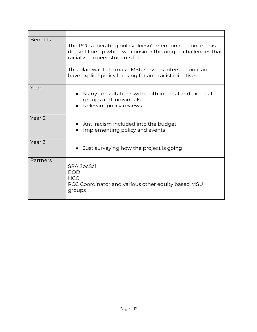| <b>Benefits</b>   | The PCCs operating policy doesn't mention race once. This<br>doesn't line up when we consider the unique challenges that<br>racialized queer students face.<br>This plan wants to make MSU services intersectional and<br>have explicit policy backing for anti racist initiatives. |
|-------------------|-------------------------------------------------------------------------------------------------------------------------------------------------------------------------------------------------------------------------------------------------------------------------------------|
| Year 1            | Many consultations with both internal and external<br>groups and individuals<br>Relevant policy reviews                                                                                                                                                                             |
| Year <sub>2</sub> | Anti racism included into the budget<br>Implementing policy and events                                                                                                                                                                                                              |
| Year <sub>3</sub> | Just surveying how the project is going                                                                                                                                                                                                                                             |
| Partners          | <b>SRA SocSci</b><br><b>BOD</b><br><b>HCCI</b><br>PCC Coordinator and various other equity based MSU<br>groups                                                                                                                                                                      |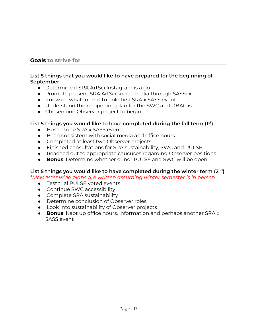#### **Goals to strive for**

#### **List 5 things that you would like to have prepared for the beginning of September**

- Determine if SRA ArtSci Instagram is a go
- Promote present SRA ArtSci social media through SASSex
- Know on what format to hold first SRA x SASS event
- Understand the re-opening plan for the SWC and DBAC is
- Chosen one Observer project to begin

#### **List 5 things you would like to have completed during the fall term (1 st )**

- Hosted one SRA x SASS event
- Been consistent with social media and office hours
- Completed at least two Observer projects
- Finished consultations for SRA sustainability, SWC and PULSE
- Reached out to appropriate caucuses regarding Observer positions
- **Bonus**: Determine whether or nor PULSE and SWC will be open

#### **List 5 things you would like to have completed during the winter term (2 nd )**

*\*McMaster wide plans are written assuming winter semester is in person*

- Test trial PULSE voted events
- Continue SWC accessibility
- Complete SRA sustainability
- Determine conclusion of Observer roles
- Look into sustainability of Observer projects
- **Bonus**: Kept up office hours, information and perhaps another SRA x SASS event